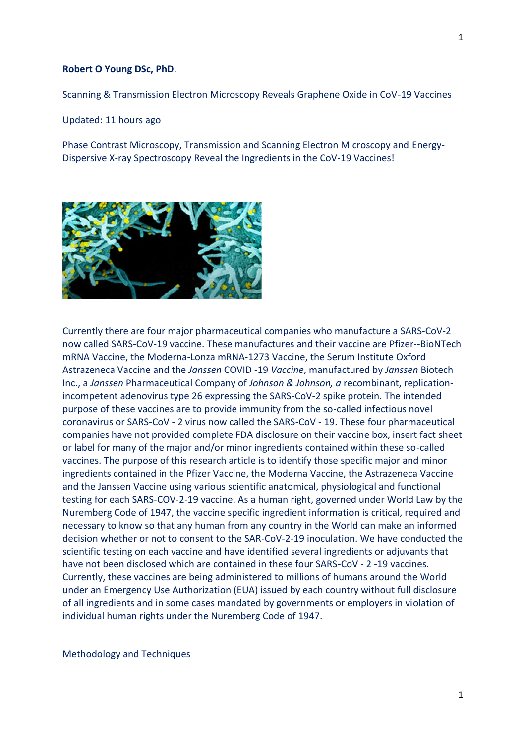## **Robert O Young DSc, PhD**.

Scanning & Transmission Electron Microscopy Reveals Graphene Oxide in CoV-19 Vaccines

Updated: 11 hours ago

Phase Contrast Microscopy, Transmission and Scanning Electron Microscopy and Energy- Dispersive X-ray Spectroscopy Reveal the Ingredients in the CoV-19 Vaccines!



Currently there are four major pharmaceutical companies who manufacture a SARS-CoV-2 now called SARS-CoV-19 vaccine. These manufactures and their vaccine are Pfizer--BioNTech mRNA Vaccine, the Moderna-Lonza mRNA-1273 Vaccine, the Serum Institute Oxford Astrazeneca Vaccine and the *Janssen* COVID -19 *Vaccine*, manufactured by *Janssen* Biotech Inc., a *Janssen* Pharmaceutical Company of *Johnson & Johnson, a* recombinant, replicationincompetent adenovirus type 26 expressing the SARS-CoV-2 spike protein. The intended purpose of these vaccines are to provide immunity from the so-called infectious novel coronavirus or SARS-CoV - 2 virus now called the SARS-CoV - 19. These four pharmaceutical companies have not provided complete FDA disclosure on their vaccine box, insert fact sheet or label for many of the major and/or minor ingredients contained within these so-called vaccines. The purpose of this research article is to identify those specific major and minor ingredients contained in the Pfizer Vaccine, the Moderna Vaccine, the Astrazeneca Vaccine and the Janssen Vaccine using various scientific anatomical, physiological and functional testing for each SARS-COV-2-19 vaccine. As a human right, governed under World Law by the Nuremberg Code of 1947, the vaccine specific ingredient information is critical, required and necessary to know so that any human from any country in the World can make an informed decision whether or not to consent to the SAR-CoV-2-19 inoculation. We have conducted the scientific testing on each vaccine and have identified several ingredients or adjuvants that have not been disclosed which are contained in these four SARS-CoV - 2 -19 vaccines. Currently, these vaccines are being administered to millions of humans around the World under an Emergency Use Authorization (EUA) issued by each country without full disclosure of all ingredients and in some cases mandated by governments or employers in violation of individual human rights under the Nuremberg Code of 1947.

Methodology and Techniques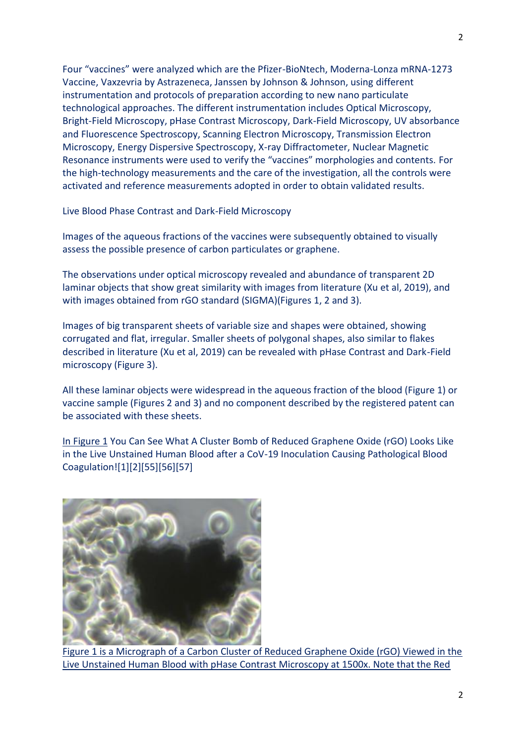Four "vaccines" were analyzed which are the Pfizer-BioNtech, Moderna-Lonza mRNA-1273 Vaccine, Vaxzevria by Astrazeneca, Janssen by Johnson & Johnson, using different instrumentation and protocols of preparation according to new nano particulate technological approaches. The different instrumentation includes Optical Microscopy, Bright-Field Microscopy, pHase Contrast Microscopy, Dark-Field Microscopy, UV absorbance and Fluorescence Spectroscopy, Scanning Electron Microscopy, Transmission Electron Microscopy, Energy Dispersive Spectroscopy, X-ray Diffractometer, Nuclear Magnetic Resonance instruments were used to verify the "vaccines" morphologies and contents. For the high-technology measurements and the care of the investigation, all the controls were activated and reference measurements adopted in order to obtain validated results.

Live Blood Phase Contrast and Dark-Field Microscopy

Images of the aqueous fractions of the vaccines were subsequently obtained to visually assess the possible presence of carbon particulates or graphene.

The observations under optical microscopy revealed and abundance of transparent 2D laminar objects that show great similarity with images from literature (Xu et al, 2019), and with images obtained from rGO standard (SIGMA)(Figures 1, 2 and 3).

Images of big transparent sheets of variable size and shapes were obtained, showing corrugated and flat, irregular. Smaller sheets of polygonal shapes, also similar to flakes described in literature (Xu et al, 2019) can be revealed with pHase Contrast and Dark-Field microscopy (Figure 3).

All these laminar objects were widespread in the aqueous fraction of the blood (Figure 1) or vaccine sample (Figures 2 and 3) and no component described by the registered patent can be associated with these sheets.

In Figure 1 You Can See What A Cluster Bomb of Reduced Graphene Oxide (rGO) Looks Like in the Live Unstained Human Blood after a CoV-19 Inoculation Causing Pathological Blood Coagulation![1][2][55][56][57]



Figure 1 is a Micrograph of a Carbon Cluster of Reduced Graphene Oxide (rGO) Viewed in the Live Unstained Human Blood with pHase Contrast Microscopy at 1500x. Note that the Red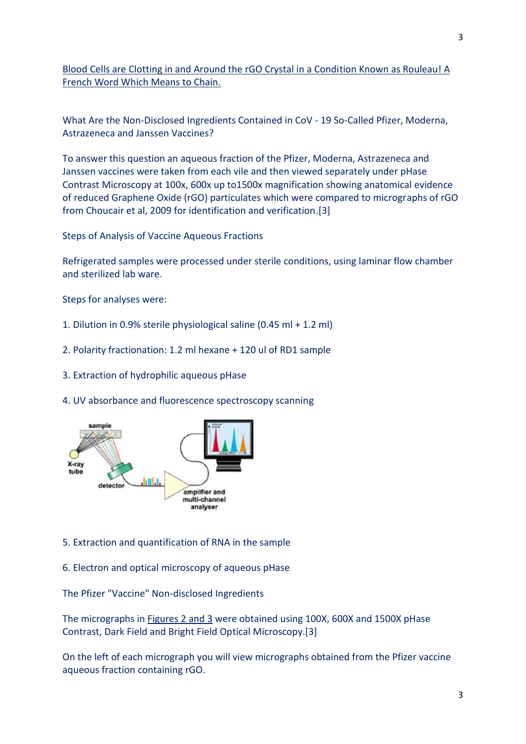Blood Cells are Clotting in and Around the rGO Crystal in a Condition Known as Rouleau! A French Word Which Means to Chain.

What Are the Non-Disclosed Ingredients Contained in CoV - 19 So-Called Pfizer, Moderna, Astrazeneca and Janssen Vaccines?

To answer this question an aqueous fraction of the Pfizer, Moderna, Astrazeneca and Janssen vaccines were taken from each vile and then viewed separately under pHase Contrast Microscopy at 100x, 600x up to1500x magnification showing anatomical evidence of reduced Graphene Oxide (rGO) particulates which were compared to micrographs of rGO from Choucair et al, 2009 for identification and verification.[3]

Steps of Analysis of Vaccine Aqueous Fractions

Refrigerated samples were processed under sterile conditions, using laminar flow chamber and sterilized lab ware.

Steps for analyses were:

- 1. Dilution in 0.9% sterile physiological saline (0.45 ml + 1.2 ml)
- 2. Polarity fractionation: 1.2 ml hexane + 120 ul of RD1 sample
- 3. Extraction of hydrophilic aqueous pHase
- 4. UV absorbance and fluorescence spectroscopy scanning



- 5. Extraction and quantification of RNA in the sample
- 6. Electron and optical microscopy of aqueous pHase

The Pfizer "Vaccine" Non-disclosed Ingredients

The micrographs in Figures 2 and 3 were obtained using 100X, 600X and 1500X pHase Contrast, Dark Field and Bright Field Optical Microscopy.[3]

On the left of each micrograph you will view micrographs obtained from the Pfizer vaccine aqueous fraction containing rGO.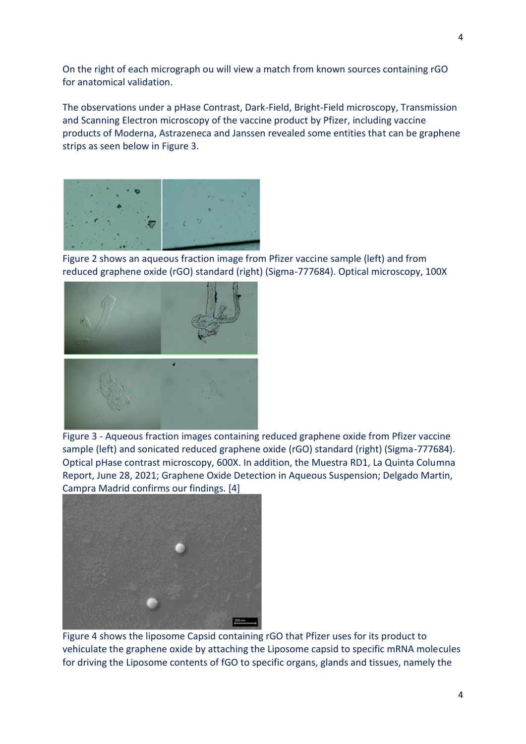On the right of each micrograph ou will view a match from known sources containing rGO for anatomical validation.

The observations under a pHase Contrast, Dark-Field, Bright-Field microscopy, Transmission and Scanning Electron microscopy of the vaccine product by Pfizer, including vaccine products of Moderna, Astrazeneca and Janssen revealed some entities that can be graphene strips as seen below in Figure 3.



Figure 2 shows an aqueous fraction image from Pfizer vaccine sample (left) and from reduced graphene oxide (rGO) standard (right) (Sigma-777684). Optical microscopy, 100X



Figure 3 - Aqueous fraction images containing reduced graphene oxide from Pfizer vaccine sample (left) and sonicated reduced graphene oxide (rGO) standard (right) (Sigma-777684). Optical pHase contrast microscopy, 600X. In addition, the Muestra RD1, La Quinta Columna Report, June 28, 2021; Graphene Oxide Detection in Aqueous Suspension; Delgado Martin, Campra Madrid confirms our findings. [4]



Figure 4 shows the liposome Capsid containing rGO that Pfizer uses for its product to vehiculate the graphene oxide by attaching the Liposome capsid to specific mRNA molecules for driving the Liposome contents of fGO to specific organs, glands and tissues, namely the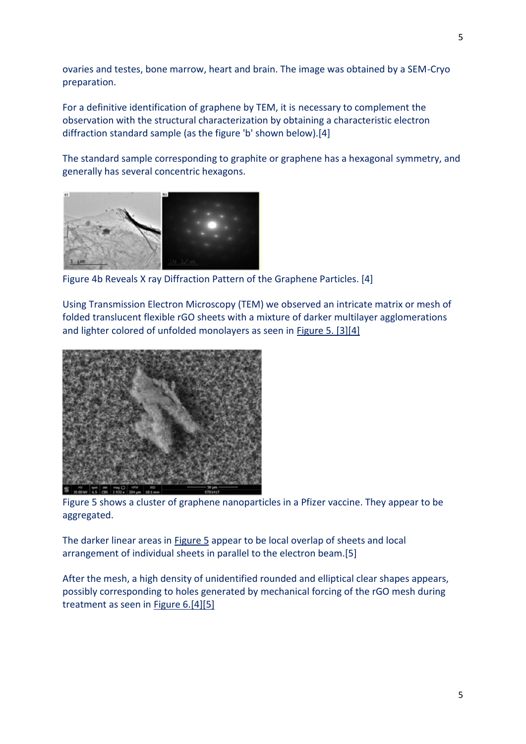ovaries and testes, bone marrow, heart and brain. The image was obtained by a SEM-Cryo preparation.

For a definitive identification of graphene by TEM, it is necessary to complement the observation with the structural characterization by obtaining a characteristic electron diffraction standard sample (as the figure 'b' shown below).[4]

The standard sample corresponding to graphite or graphene has a hexagonal symmetry, and generally has several concentric hexagons.



Figure 4b Reveals X ray Diffraction Pattern of the Graphene Particles. [4]

Using Transmission Electron Microscopy (TEM) we observed an intricate matrix or mesh of folded translucent flexible rGO sheets with a mixture of darker multilayer agglomerations and lighter colored of unfolded monolayers as seen in Figure 5. [3][4]



Figure 5 shows a cluster of graphene nanoparticles in a Pfizer vaccine. They appear to be aggregated.

The darker linear areas in Figure 5 appear to be local overlap of sheets and local arrangement of individual sheets in parallel to the electron beam.[5]

After the mesh, a high density of unidentified rounded and elliptical clear shapes appears, possibly corresponding to holes generated by mechanical forcing of the rGO mesh during treatment as seen in Figure 6.[4][5]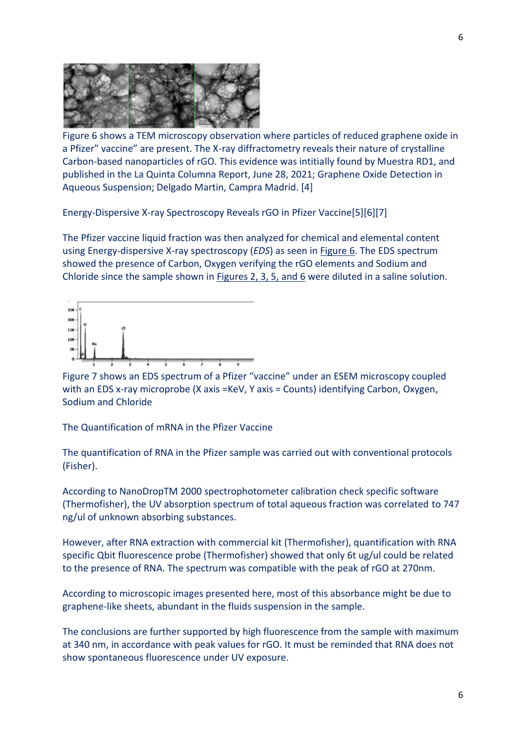

Figure 6 shows a TEM microscopy observation where particles of reduced graphene oxide in a Pfizer" vaccine" are present. The X-ray diffractometry reveals their nature of crystalline Carbon-based nanoparticles of rGO. This evidence was intitially found by Muestra RD1, and published in the La Quinta Columna Report, June 28, 2021; Graphene Oxide Detection in Aqueous Suspension; Delgado Martin, Campra Madrid. [4]

Energy-Dispersive X-ray Spectroscopy Reveals rGO in Pfizer Vaccine[5][6][7]

The Pfizer vaccine liquid fraction was then analyzed for chemical and elemental content using Energy-dispersive X-ray spectroscopy (*EDS*) as seen in Figure 6. The EDS spectrum showed the presence of Carbon, Oxygen verifying the rGO elements and Sodium and Chloride since the sample shown in Figures 2, 3, 5, and 6 were diluted in a saline solution.



Figure 7 shows an EDS spectrum of a Pfizer "vaccine" under an ESEM microscopy coupled with an EDS x-ray microprobe (X axis =KeV, Y axis = Counts) identifying Carbon, Oxygen, Sodium and Chloride

The Quantification of mRNA in the Pfizer Vaccine

The quantification of RNA in the Pfizer sample was carried out with conventional protocols (Fisher).

According to NanoDropTM 2000 spectrophotometer calibration check specific software (Thermofisher), the UV absorption spectrum of total aqueous fraction was correlated to 747 ng/ul of unknown absorbing substances.

However, after RNA extraction with commercial kit (Thermofisher), quantification with RNA specific Qbit fluorescence probe (Thermofisher) showed that only 6t ug/ul could be related to the presence of RNA. The spectrum was compatible with the peak of rGO at 270nm.

According to microscopic images presented here, most of this absorbance might be due to graphene-like sheets, abundant in the fluids suspension in the sample.

The conclusions are further supported by high fluorescence from the sample with maximum at 340 nm, in accordance with peak values for rGO. It must be reminded that RNA does not show spontaneous fluorescence under UV exposure.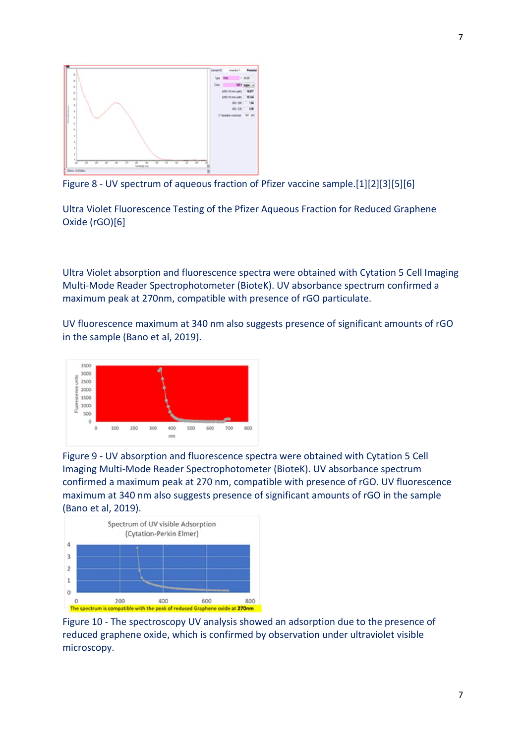

Figure 8 - UV spectrum of aqueous fraction of Pfizer vaccine sample.[1][2][3][5][6]

Ultra Violet Fluorescence Testing of the Pfizer Aqueous Fraction for Reduced Graphene Oxide (rGO)[6]

Ultra Violet absorption and fluorescence spectra were obtained with Cytation 5 Cell Imaging Multi-Mode Reader Spectrophotometer (BioteK). UV absorbance spectrum confirmed a maximum peak at 270nm, compatible with presence of rGO particulate.

UV fluorescence maximum at 340 nm also suggests presence of significant amounts of rGO in the sample (Bano et al, 2019).



Figure 9 - UV absorption and fluorescence spectra were obtained with Cytation 5 Cell Imaging Multi-Mode Reader Spectrophotometer (BioteK). UV absorbance spectrum confirmed a maximum peak at 270 nm, compatible with presence of rGO. UV fluorescence maximum at 340 nm also suggests presence of significant amounts of rGO in the sample (Bano et al, 2019).



Figure 10 - The spectroscopy UV analysis showed an adsorption due to the presence of reduced graphene oxide, which is confirmed by observation under ultraviolet visible microscopy.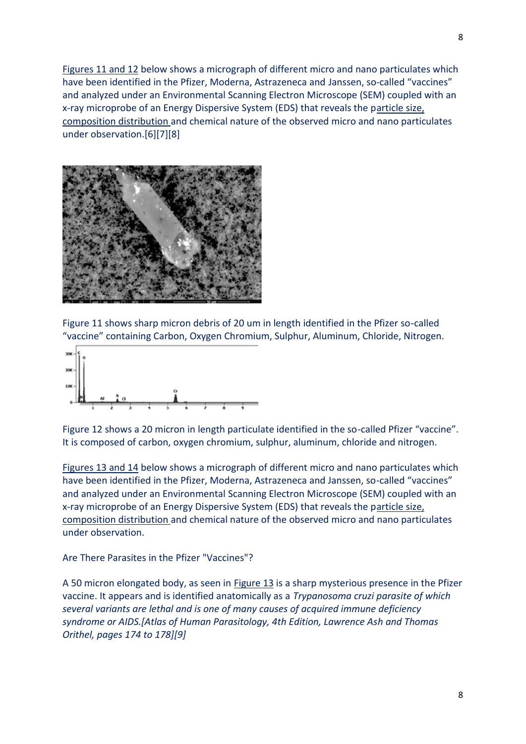Figures 11 and 12 below shows a micrograph of different micro and nano particulates which have been identified in the Pfizer, Moderna, Astrazeneca and Janssen, so-called "vaccines" and analyzed under an Environmental Scanning Electron Microscope (SEM) coupled with an x-ray microprobe of an Energy Dispersive System (EDS) that reveals the particle size, composition distribution and chemical nature of the observed micro and nano particulates under observation.[6][7][8]



Figure 11 shows sharp micron debris of 20 um in length identified in the Pfizer so-called "vaccine" containing Carbon, Oxygen Chromium, Sulphur, Aluminum, Chloride, Nitrogen.



Figure 12 shows a 20 micron in length particulate identified in the so-called Pfizer "vaccine". It is composed of carbon, oxygen chromium, sulphur, aluminum, chloride and nitrogen.

Figures 13 and 14 below shows a micrograph of different micro and nano particulates which have been identified in the Pfizer, Moderna, Astrazeneca and Janssen, so-called "vaccines" and analyzed under an Environmental Scanning Electron Microscope (SEM) coupled with an x-ray microprobe of an Energy Dispersive System (EDS) that reveals the particle size, composition distribution and chemical nature of the observed micro and nano particulates under observation.

Are There Parasites in the Pfizer "Vaccines"?

A 50 micron elongated body, as seen in Figure 13 is a sharp mysterious presence in the Pfizer vaccine. It appears and is identified anatomically as a *Trypanosoma cruzi parasite of which several variants are lethal and is one of many causes of acquired immune deficiency syndrome or AIDS.[Atlas of Human Parasitology, 4th Edition, Lawrence Ash and Thomas Orithel, pages 174 to 178][9]*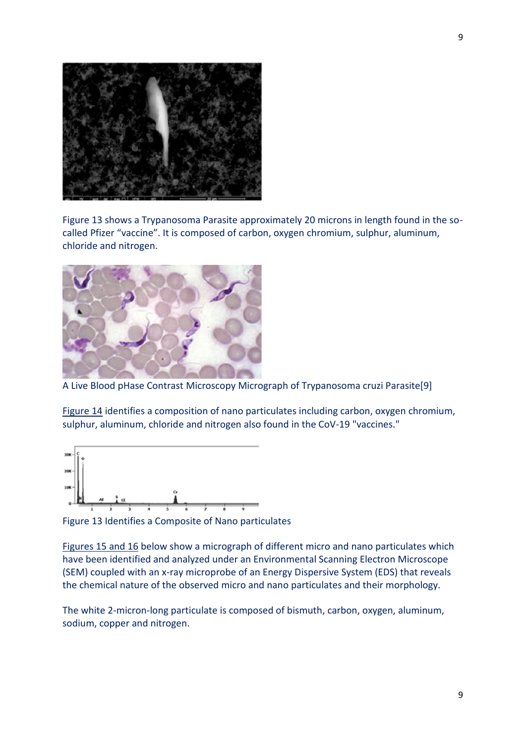

Figure 13 shows a Trypanosoma Parasite approximately 20 microns in length found in the so called Pfizer "vaccine". It is composed of carbon, oxygen chromium, sulphur, aluminum, chloride and nitrogen.



A Live Blood pHase Contrast Microscopy Micrograph of Trypanosoma cruzi Parasite[9]

Figure 14 identifies a composition of nano particulates including carbon, oxygen chromium, sulphur, aluminum, chloride and nitrogen also found in the CoV-19 "vaccines."



Figure 13 Identifies a Composite of Nano particulates

Figures 15 and 16 below show a micrograph of different micro and nano particulates which have been identified and analyzed under an Environmental Scanning Electron Microscope (SEM) coupled with an x-ray microprobe of an Energy Dispersive System (EDS) that reveals the chemical nature of the observed micro and nano particulates and their morphology.

The white 2-micron-long particulate is composed of bismuth, carbon, oxygen, aluminum, sodium, copper and nitrogen.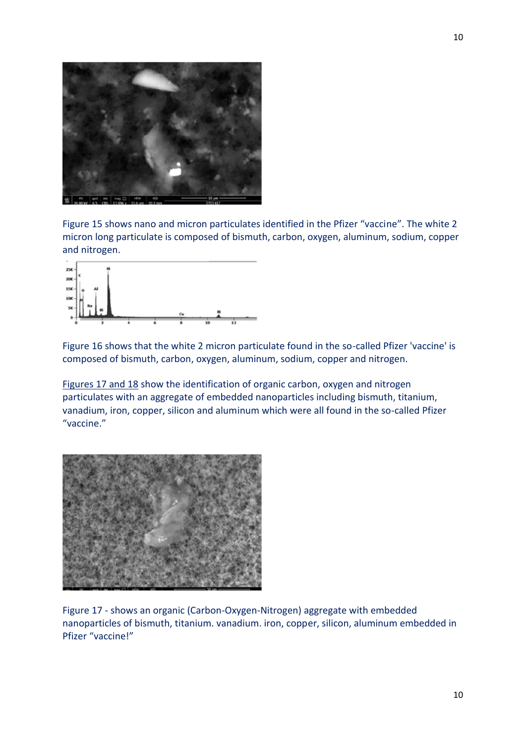

Figure 15 shows nano and micron particulates identified in the Pfizer "vaccine". The white 2 micron long particulate is composed of bismuth, carbon, oxygen, aluminum, sodium, copper and nitrogen.



Figure 16 shows that the white 2 micron particulate found in the so-called Pfizer 'vaccine' is composed of bismuth, carbon, oxygen, aluminum, sodium, copper and nitrogen.

Figures 17 and 18 show the identification of organic carbon, oxygen and nitrogen particulates with an aggregate of embedded nanoparticles including bismuth, titanium, vanadium, iron, copper, silicon and aluminum which were all found in the so-called Pfizer "vaccine."



Figure 17 - shows an organic (Carbon-Oxygen-Nitrogen) aggregate with embedded nanoparticles of bismuth, titanium. vanadium. iron, copper, silicon, aluminum embedded in Pfizer "vaccine!"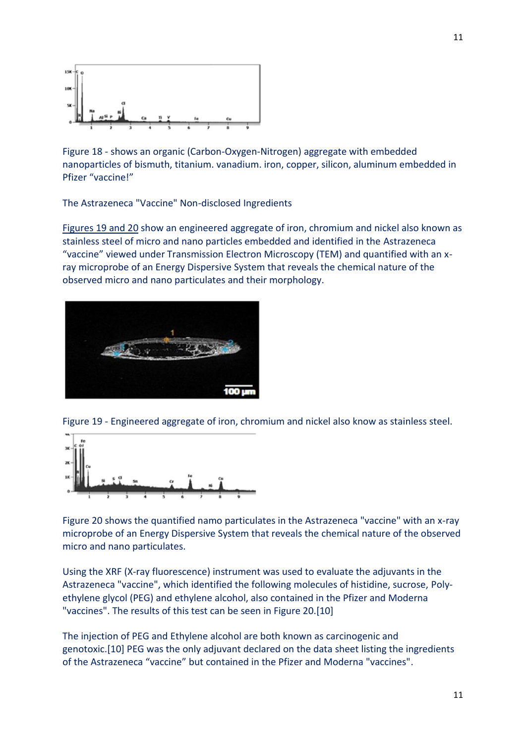

Figure 18 - shows an organic (Carbon-Oxygen-Nitrogen) aggregate with embedded nanoparticles of bismuth, titanium. vanadium. iron, copper, silicon, aluminum embedded in Pfizer "vaccine!"

The Astrazeneca "Vaccine" Non-disclosed Ingredients

Figures 19 and 20 show an engineered aggregate of iron, chromium and nickel also known as stainless steel of micro and nano particles embedded and identified in the Astrazeneca "vaccine" viewed under Transmission Electron Microscopy (TEM) and quantified with an x ray microprobe of an Energy Dispersive System that reveals the chemical nature of the observed micro and nano particulates and their morphology.



Figure 19 - Engineered aggregate of iron, chromium and nickel also know as stainless steel.



Figure 20 shows the quantified namo particulates in the Astrazeneca "vaccine" with an x-ray microprobe of an Energy Dispersive System that reveals the chemical nature of the observed micro and nano particulates.

Using the XRF (X-ray fluorescence) instrument was used to evaluate the adjuvants in the Astrazeneca "vaccine", which identified the following molecules of histidine, sucrose, Poly ethylene glycol (PEG) and ethylene alcohol, also contained in the Pfizer and Moderna "vaccines". The results of this test can be seen in Figure 20.[10]

The injection of PEG and Ethylene alcohol are both known as carcinogenic and genotoxic.[10] PEG was the only adjuvant declared on the data sheet listing the ingredients of the Astrazeneca "vaccine" but contained in the Pfizer and Moderna "vaccines".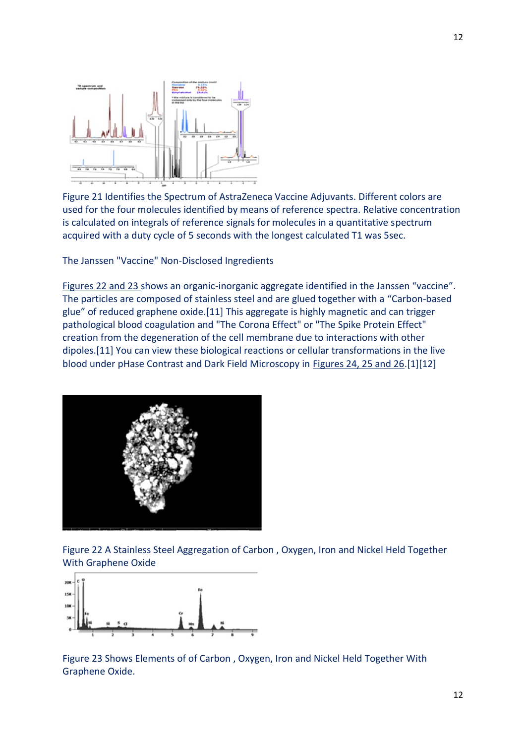

Figure 21 Identifies the Spectrum of AstraZeneca Vaccine Adjuvants. Different colors are used for the four molecules identified by means of reference spectra. Relative concentration is calculated on integrals of reference signals for molecules in a quantitative spectrum acquired with a duty cycle of 5 seconds with the longest calculated T1 was 5sec.

The Janssen "Vaccine" Non-Disclosed Ingredients

Figures 22 and 23 shows an organic-inorganic aggregate identified in the Janssen "vaccine". The particles are composed of stainless steel and are glued together with a "Carbon-based glue" of reduced graphene oxide.[11] This aggregate is highly magnetic and can trigger pathological blood coagulation and "The Corona Effect" or "The Spike Protein Effect" creation from the degeneration of the cell membrane due to interactions with other dipoles.[11] You can view these biological reactions or cellular transformations in the live blood under pHase Contrast and Dark Field Microscopy in Figures 24, 25 and 26.[1][12]



Figure 22 A Stainless Steel Aggregation of Carbon , Oxygen, Iron and Nickel Held Together With Graphene Oxide



Figure 23 Shows Elements of of Carbon , Oxygen, Iron and Nickel Held Together With Graphene Oxide.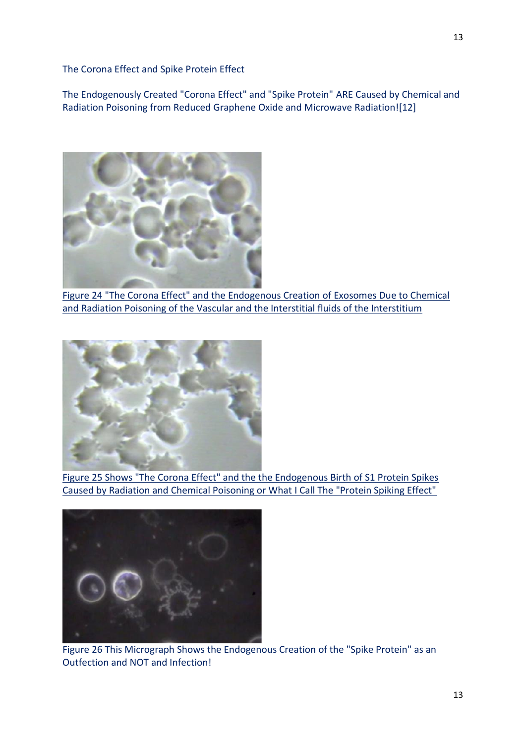The Corona Effect and Spike Protein Effect

The Endogenously Created "Corona Effect" and "Spike Protein" ARE Caused by Chemical and Radiation Poisoning from Reduced Graphene Oxide and Microwave Radiation![12]



Figure 24 "The Corona Effect" and the Endogenous Creation of Exosomes Due to Chemical and Radiation Poisoning of the Vascular and the Interstitial fluids of the Interstitium



Figure 25 Shows "The Corona Effect" and the the Endogenous Birth of S1 Protein Spikes Caused by Radiation and Chemical Poisoning or What I Call The "Protein Spiking Effect"



Figure 26 This Micrograph Shows the Endogenous Creation of the "Spike Protein" as an Outfection and NOT and Infection!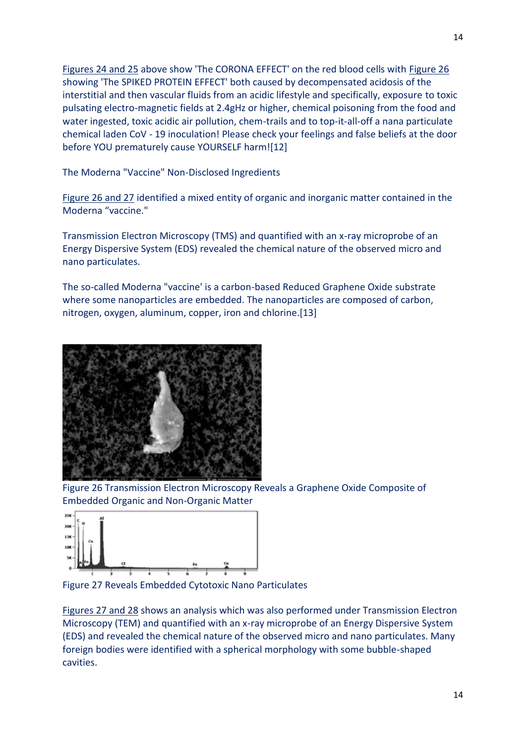Figures 24 and 25 above show 'The CORONA EFFECT' on the red blood cells with Figure 26 showing 'The SPIKED PROTEIN EFFECT' both caused by decompensated acidosis of the interstitial and then vascular fluids from an acidic lifestyle and specifically, exposure to toxic pulsating electro-magnetic fields at 2.4gHz or higher, chemical poisoning from the food and water ingested, toxic acidic air pollution, chem-trails and to top-it-all-off a nana particulate chemical laden CoV - 19 inoculation! Please check your feelings and false beliefs at the door before YOU prematurely cause YOURSELF harm![12]

The Moderna "Vaccine" Non-Disclosed Ingredients

Figure 26 and 27 identified a mixed entity of organic and inorganic matter contained in the Moderna "vaccine."

Transmission Electron Microscopy (TMS) and quantified with an x-ray microprobe of an Energy Dispersive System (EDS) revealed the chemical nature of the observed micro and nano particulates.

The so-called Moderna "vaccine' is a carbon-based Reduced Graphene Oxide substrate where some nanoparticles are embedded. The nanoparticles are composed of carbon, nitrogen, oxygen, aluminum, copper, iron and chlorine.[13]



Figure 26 Transmission Electron Microscopy Reveals a Graphene Oxide Composite of Embedded Organic and Non-Organic Matter



Figure 27 Reveals Embedded Cytotoxic Nano Particulates

Figures 27 and 28 shows an analysis which was also performed under Transmission Electron Microscopy (TEM) and quantified with an x-ray microprobe of an Energy Dispersive System (EDS) and revealed the chemical nature of the observed micro and nano particulates. Many foreign bodies were identified with a spherical morphology with some bubble-shaped cavities.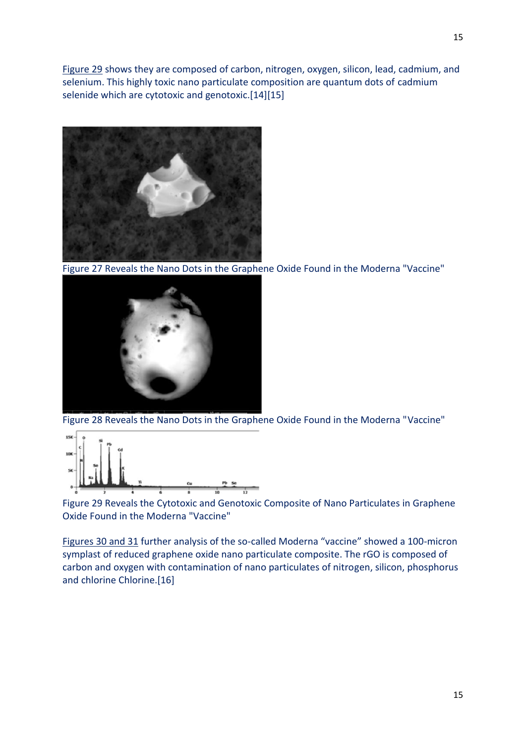Figure 29 shows they are composed of carbon, nitrogen, oxygen, silicon, lead, cadmium, and selenium. This highly toxic nano particulate composition are quantum dots of cadmium selenide which are cytotoxic and genotoxic.[14][15]



Figure 27 Reveals the Nano Dots in the Graphene Oxide Found in the Moderna "Vaccine"



Figure 28 Reveals the Nano Dots in the Graphene Oxide Found in the Moderna "Vaccine"



Figure 29 Reveals the Cytotoxic and Genotoxic Composite of Nano Particulates in Graphene Oxide Found in the Moderna "Vaccine"

Figures 30 and 31 further analysis of the so-called Moderna "vaccine" showed a 100-micron symplast of reduced graphene oxide nano particulate composite. The rGO is composed of carbon and oxygen with contamination of nano particulates of nitrogen, silicon, phosphorus and chlorine Chlorine.[16]